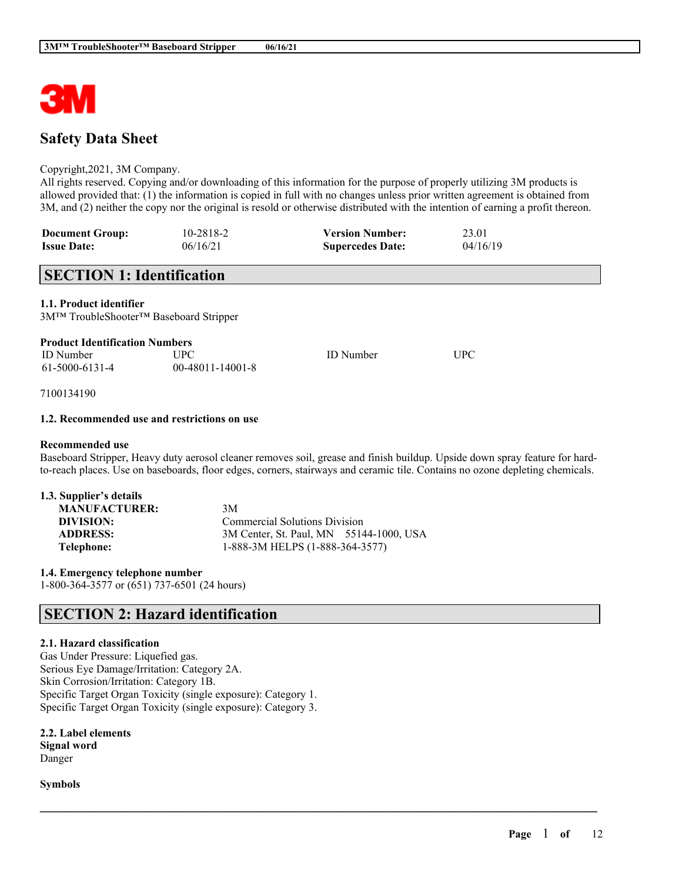

# **Safety Data Sheet**

### Copyright,2021, 3M Company.

All rights reserved. Copying and/or downloading of this information for the purpose of properly utilizing 3M products is allowed provided that: (1) the information is copied in full with no changes unless prior written agreement is obtained from 3M, and (2) neither the copy nor the original is resold or otherwise distributed with the intention of earning a profit thereon.

| <b>Document Group:</b> | 10-2818-2 | <b>Version Number:</b>  | 23.01    |
|------------------------|-----------|-------------------------|----------|
| <b>Issue Date:</b>     | 06/16/21  | <b>Supercedes Date:</b> | 04/16/19 |

# **SECTION 1: Identification**

**1.1. Product identifier**

3M™ TroubleShooter™ Baseboard Stripper

| <b>Product Identification Numbers</b> |  |
|---------------------------------------|--|
|---------------------------------------|--|

| ID Number      | <b>UPC</b>         | <b>ID</b> Number | UPC |
|----------------|--------------------|------------------|-----|
| 61-5000-6131-4 | $00-48011-14001-8$ |                  |     |

7100134190

### **1.2. Recommended use and restrictions on use**

### **Recommended use**

Baseboard Stripper, Heavy duty aerosol cleaner removes soil, grease and finish buildup. Upside down spray feature for hardto-reach places. Use on baseboards, floor edges, corners, stairways and ceramic tile. Contains no ozone depleting chemicals.

 $\mathcal{L}_\mathcal{L} = \mathcal{L}_\mathcal{L} = \mathcal{L}_\mathcal{L} = \mathcal{L}_\mathcal{L} = \mathcal{L}_\mathcal{L} = \mathcal{L}_\mathcal{L} = \mathcal{L}_\mathcal{L} = \mathcal{L}_\mathcal{L} = \mathcal{L}_\mathcal{L} = \mathcal{L}_\mathcal{L} = \mathcal{L}_\mathcal{L} = \mathcal{L}_\mathcal{L} = \mathcal{L}_\mathcal{L} = \mathcal{L}_\mathcal{L} = \mathcal{L}_\mathcal{L} = \mathcal{L}_\mathcal{L} = \mathcal{L}_\mathcal{L}$ 

| 1.3. Supplier's details |                                         |  |
|-------------------------|-----------------------------------------|--|
| <b>MANUFACTURER:</b>    | 3M                                      |  |
| DIVISION:               | <b>Commercial Solutions Division</b>    |  |
| <b>ADDRESS:</b>         | 3M Center, St. Paul, MN 55144-1000, USA |  |
| Telephone:              | 1-888-3M HELPS (1-888-364-3577)         |  |

**1.4. Emergency telephone number** 1-800-364-3577 or (651) 737-6501 (24 hours)

# **SECTION 2: Hazard identification**

### **2.1. Hazard classification**

Gas Under Pressure: Liquefied gas. Serious Eye Damage/Irritation: Category 2A. Skin Corrosion/Irritation: Category 1B. Specific Target Organ Toxicity (single exposure): Category 1. Specific Target Organ Toxicity (single exposure): Category 3.

**2.2. Label elements Signal word** Danger

**Symbols**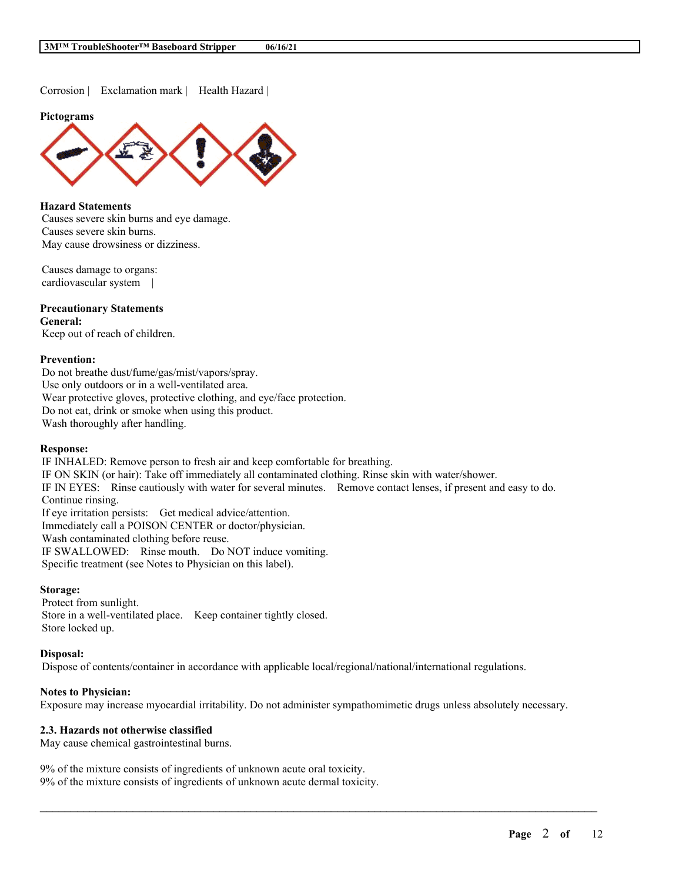Corrosion | Exclamation mark | Health Hazard |

#### **Pictograms**



### **Hazard Statements**

Causes severe skin burns and eye damage. Causes severe skin burns. May cause drowsiness or dizziness.

Causes damage to organs: cardiovascular system |

### **Precautionary Statements General:**

Keep out of reach of children.

### **Prevention:**

Do not breathe dust/fume/gas/mist/vapors/spray. Use only outdoors or in a well-ventilated area. Wear protective gloves, protective clothing, and eye/face protection. Do not eat, drink or smoke when using this product. Wash thoroughly after handling.

### **Response:**

IF INHALED: Remove person to fresh air and keep comfortable for breathing. IF ON SKIN (or hair): Take off immediately all contaminated clothing. Rinse skin with water/shower. IF IN EYES: Rinse cautiously with water for several minutes. Remove contact lenses, if present and easy to do. Continue rinsing. If eye irritation persists: Get medical advice/attention. Immediately call a POISON CENTER or doctor/physician. Wash contaminated clothing before reuse. IF SWALLOWED: Rinse mouth. Do NOT induce vomiting. Specific treatment (see Notes to Physician on this label).

#### **Storage:**

Protect from sunlight. Store in a well-ventilated place. Keep container tightly closed. Store locked up.

### **Disposal:**

Dispose of contents/container in accordance with applicable local/regional/national/international regulations.

### **Notes to Physician:**

Exposure may increase myocardial irritability. Do not administer sympathomimetic drugs unless absolutely necessary.

 $\mathcal{L}_\mathcal{L} = \mathcal{L}_\mathcal{L} = \mathcal{L}_\mathcal{L} = \mathcal{L}_\mathcal{L} = \mathcal{L}_\mathcal{L} = \mathcal{L}_\mathcal{L} = \mathcal{L}_\mathcal{L} = \mathcal{L}_\mathcal{L} = \mathcal{L}_\mathcal{L} = \mathcal{L}_\mathcal{L} = \mathcal{L}_\mathcal{L} = \mathcal{L}_\mathcal{L} = \mathcal{L}_\mathcal{L} = \mathcal{L}_\mathcal{L} = \mathcal{L}_\mathcal{L} = \mathcal{L}_\mathcal{L} = \mathcal{L}_\mathcal{L}$ 

## **2.3. Hazards not otherwise classified**

May cause chemical gastrointestinal burns.

9% of the mixture consists of ingredients of unknown acute oral toxicity. 9% of the mixture consists of ingredients of unknown acute dermal toxicity.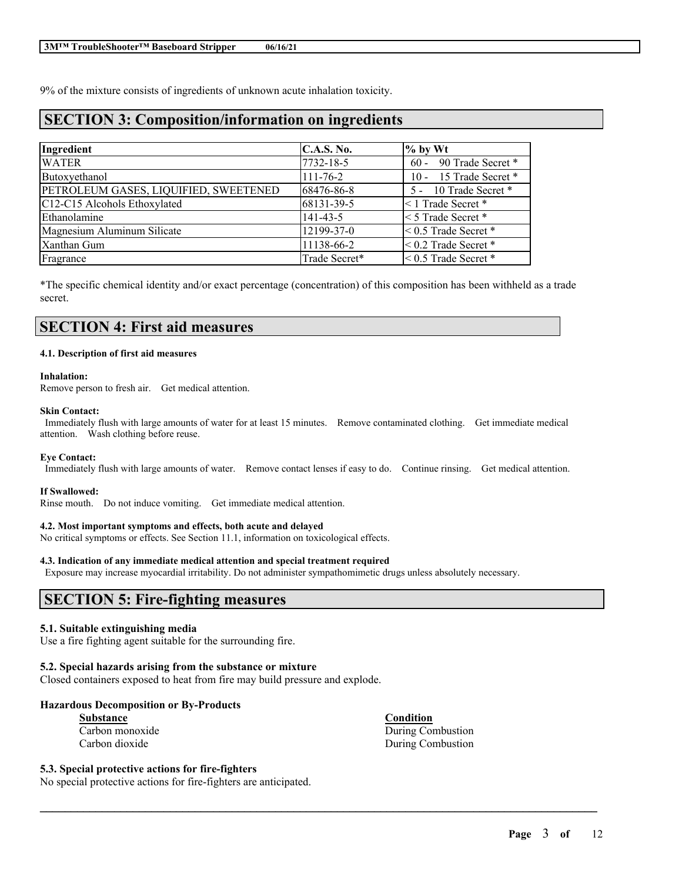9% of the mixture consists of ingredients of unknown acute inhalation toxicity.

# **SECTION 3: Composition/information on ingredients**

| Ingredient                            | C.A.S. No.     | $\%$ by Wt                  |
|---------------------------------------|----------------|-----------------------------|
| <b>WATER</b>                          | 7732-18-5      | 60 - 90 Trade Secret *      |
| Butoxyethanol                         | $111 - 76 - 2$ | 10 - 15 Trade Secret *      |
| PETROLEUM GASES, LIQUIFIED, SWEETENED | 68476-86-8     | 5 - 10 Trade Secret *       |
| C12-C15 Alcohols Ethoxylated          | 68131-39-5     | $\leq 1$ Trade Secret *     |
| Ethanolamine                          | $141 - 43 - 5$ | $\leq$ 5 Trade Secret $*$   |
| Magnesium Aluminum Silicate           | 12199-37-0     | $< 0.5$ Trade Secret $*$    |
| Xanthan Gum                           | 11138-66-2     | $< 0.2$ Trade Secret $*$    |
| Fragrance                             | Trade Secret*  | $\leq 0.5$ Trade Secret $*$ |

\*The specific chemical identity and/or exact percentage (concentration) of this composition has been withheld as a trade secret.

# **SECTION 4: First aid measures**

#### **4.1. Description of first aid measures**

#### **Inhalation:**

Remove person to fresh air. Get medical attention.

#### **Skin Contact:**

Immediately flush with large amounts of water for at least 15 minutes. Remove contaminated clothing. Get immediate medical attention. Wash clothing before reuse.

### **Eye Contact:**

Immediately flush with large amounts of water. Remove contact lenses if easy to do. Continue rinsing. Get medical attention.

 $\mathcal{L}_\mathcal{L} = \mathcal{L}_\mathcal{L} = \mathcal{L}_\mathcal{L} = \mathcal{L}_\mathcal{L} = \mathcal{L}_\mathcal{L} = \mathcal{L}_\mathcal{L} = \mathcal{L}_\mathcal{L} = \mathcal{L}_\mathcal{L} = \mathcal{L}_\mathcal{L} = \mathcal{L}_\mathcal{L} = \mathcal{L}_\mathcal{L} = \mathcal{L}_\mathcal{L} = \mathcal{L}_\mathcal{L} = \mathcal{L}_\mathcal{L} = \mathcal{L}_\mathcal{L} = \mathcal{L}_\mathcal{L} = \mathcal{L}_\mathcal{L}$ 

#### **If Swallowed:**

Rinse mouth. Do not induce vomiting. Get immediate medical attention.

### **4.2. Most important symptoms and effects, both acute and delayed**

No critical symptoms or effects. See Section 11.1, information on toxicological effects.

### **4.3. Indication of any immediate medical attention and special treatment required**

Exposure may increase myocardial irritability. Do not administer sympathomimetic drugs unless absolutely necessary.

# **SECTION 5: Fire-fighting measures**

### **5.1. Suitable extinguishing media**

Use a fire fighting agent suitable for the surrounding fire.

### **5.2. Special hazards arising from the substance or mixture**

Closed containers exposed to heat from fire may build pressure and explode.

### **Hazardous Decomposition or By-Products**

| <b>Substance</b> |  |
|------------------|--|
| Carbon monoxide  |  |
| Carbon dioxide   |  |

**Condition** During Combustion During Combustion

## **5.3. Special protective actions for fire-fighters**

No special protective actions for fire-fighters are anticipated.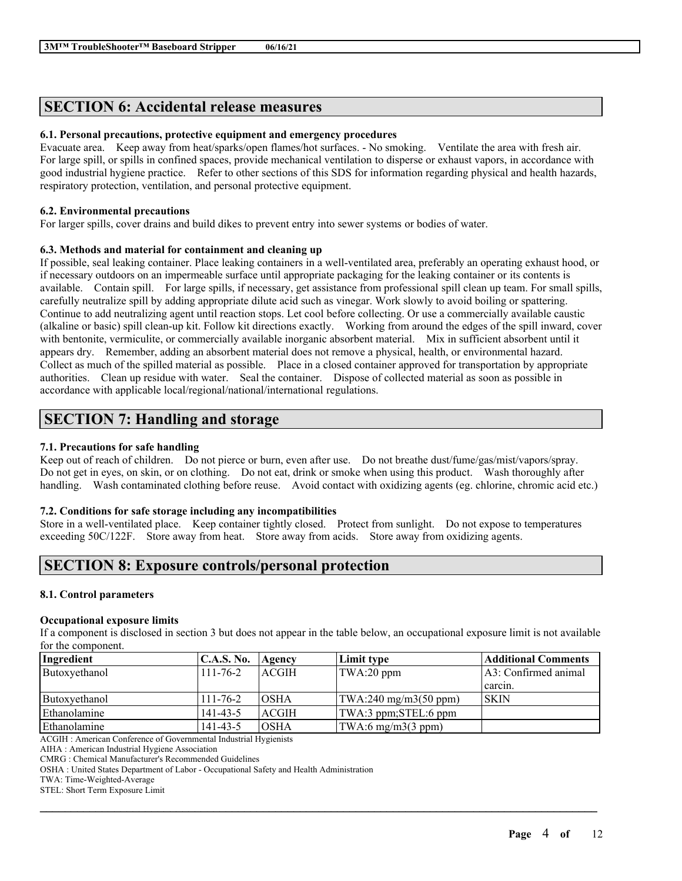## **SECTION 6: Accidental release measures**

## **6.1. Personal precautions, protective equipment and emergency procedures**

Evacuate area. Keep away from heat/sparks/open flames/hot surfaces. - No smoking. Ventilate the area with fresh air. For large spill, or spills in confined spaces, provide mechanical ventilation to disperse or exhaust vapors, in accordance with good industrial hygiene practice. Refer to other sections of this SDS for information regarding physical and health hazards, respiratory protection, ventilation, and personal protective equipment.

### **6.2. Environmental precautions**

For larger spills, cover drains and build dikes to prevent entry into sewer systems or bodies of water.

### **6.3. Methods and material for containment and cleaning up**

If possible, seal leaking container. Place leaking containers in a well-ventilated area, preferably an operating exhaust hood, or if necessary outdoors on an impermeable surface until appropriate packaging for the leaking container or its contents is available. Contain spill. For large spills, if necessary, get assistance from professional spill clean up team. For small spills, carefully neutralize spill by adding appropriate dilute acid such as vinegar. Work slowly to avoid boiling or spattering. Continue to add neutralizing agent until reaction stops. Let cool before collecting. Or use a commercially available caustic (alkaline or basic) spill clean-up kit. Follow kit directions exactly. Working from around the edges of the spill inward, cover with bentonite, vermiculite, or commercially available inorganic absorbent material. Mix in sufficient absorbent until it appears dry. Remember, adding an absorbent material does not remove a physical, health, or environmental hazard. Collect as much of the spilled material as possible. Place in a closed container approved for transportation by appropriate authorities. Clean up residue with water. Seal the container. Dispose of collected material as soon as possible in accordance with applicable local/regional/national/international regulations.

# **SECTION 7: Handling and storage**

## **7.1. Precautions for safe handling**

Keep out of reach of children. Do not pierce or burn, even after use. Do not breathe dust/fume/gas/mist/vapors/spray. Do not get in eyes, on skin, or on clothing. Do not eat, drink or smoke when using this product. Wash thoroughly after handling. Wash contaminated clothing before reuse. Avoid contact with oxidizing agents (eg. chlorine, chromic acid etc.)

### **7.2. Conditions for safe storage including any incompatibilities**

Store in a well-ventilated place. Keep container tightly closed. Protect from sunlight. Do not expose to temperatures exceeding 50C/122F. Store away from heat. Store away from acids. Store away from oxidizing agents.

# **SECTION 8: Exposure controls/personal protection**

### **8.1. Control parameters**

### **Occupational exposure limits**

If a component is disclosed in section 3 but does not appear in the table below, an occupational exposure limit is not available for the component.

| Ingredient    | C.A.S. No.     | Agency       | Limit type                                     | <b>Additional Comments</b> |
|---------------|----------------|--------------|------------------------------------------------|----------------------------|
| Butoxyethanol | $111 - 76 - 2$ | <b>ACGIH</b> | TWA:20 ppm                                     | A3: Confirmed animal       |
|               |                |              |                                                | carcin.                    |
| Butoxyethanol | $111 - 76 - 2$ | <b>OSHA</b>  | $\text{TWA:}240 \text{ mg/m}3(50 \text{ ppm})$ | <b>SKIN</b>                |
| Ethanolamine  | $141 - 43 - 5$ | <b>ACGIH</b> | TWA:3 ppm;STEL:6 ppm                           |                            |
| Ethanolamine  | $141 - 43 - 5$ | <b>OSHA</b>  | $\text{TWA:6 mg/m3}(3 \text{ ppm})$            |                            |

 $\mathcal{L}_\mathcal{L} = \mathcal{L}_\mathcal{L} = \mathcal{L}_\mathcal{L} = \mathcal{L}_\mathcal{L} = \mathcal{L}_\mathcal{L} = \mathcal{L}_\mathcal{L} = \mathcal{L}_\mathcal{L} = \mathcal{L}_\mathcal{L} = \mathcal{L}_\mathcal{L} = \mathcal{L}_\mathcal{L} = \mathcal{L}_\mathcal{L} = \mathcal{L}_\mathcal{L} = \mathcal{L}_\mathcal{L} = \mathcal{L}_\mathcal{L} = \mathcal{L}_\mathcal{L} = \mathcal{L}_\mathcal{L} = \mathcal{L}_\mathcal{L}$ 

ACGIH : American Conference of Governmental Industrial Hygienists

AIHA : American Industrial Hygiene Association

CMRG : Chemical Manufacturer's Recommended Guidelines

OSHA : United States Department of Labor - Occupational Safety and Health Administration

TWA: Time-Weighted-Average

STEL: Short Term Exposure Limit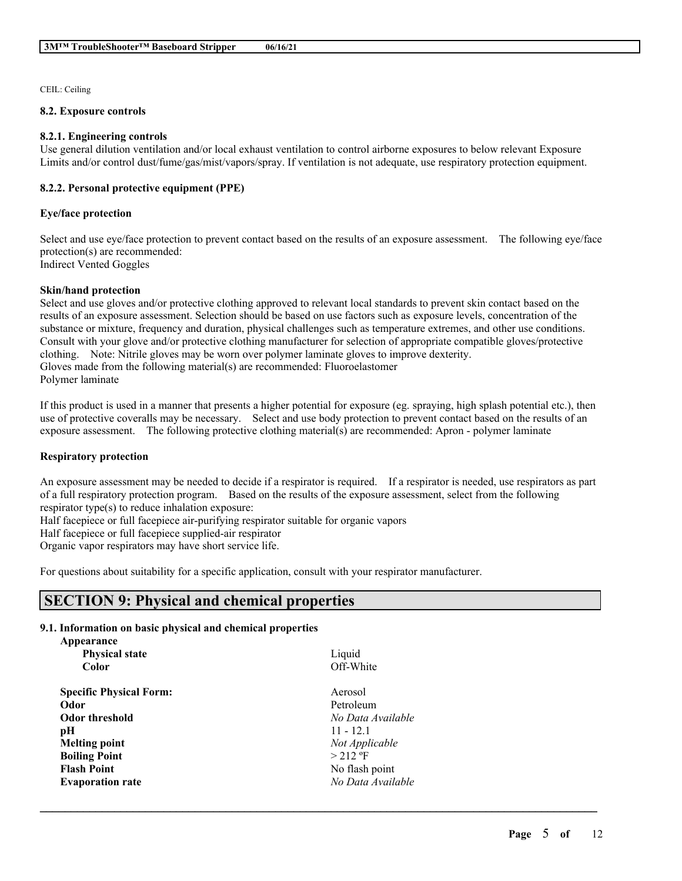CEIL: Ceiling

#### **8.2. Exposure controls**

### **8.2.1. Engineering controls**

Use general dilution ventilation and/or local exhaust ventilation to control airborne exposures to below relevant Exposure Limits and/or control dust/fume/gas/mist/vapors/spray. If ventilation is not adequate, use respiratory protection equipment.

### **8.2.2. Personal protective equipment (PPE)**

### **Eye/face protection**

Select and use eye/face protection to prevent contact based on the results of an exposure assessment. The following eye/face protection(s) are recommended: Indirect Vented Goggles

### **Skin/hand protection**

Select and use gloves and/or protective clothing approved to relevant local standards to prevent skin contact based on the results of an exposure assessment. Selection should be based on use factors such as exposure levels, concentration of the substance or mixture, frequency and duration, physical challenges such as temperature extremes, and other use conditions. Consult with your glove and/or protective clothing manufacturer for selection of appropriate compatible gloves/protective clothing. Note: Nitrile gloves may be worn over polymer laminate gloves to improve dexterity. Gloves made from the following material(s) are recommended: Fluoroelastomer Polymer laminate

If this product is used in a manner that presents a higher potential for exposure (eg. spraying, high splash potential etc.), then use of protective coveralls may be necessary. Select and use body protection to prevent contact based on the results of an exposure assessment. The following protective clothing material(s) are recommended: Apron - polymer laminate

### **Respiratory protection**

An exposure assessment may be needed to decide if a respirator is required. If a respirator is needed, use respirators as part of a full respiratory protection program. Based on the results of the exposure assessment, select from the following respirator type(s) to reduce inhalation exposure:

 $\mathcal{L}_\mathcal{L} = \mathcal{L}_\mathcal{L} = \mathcal{L}_\mathcal{L} = \mathcal{L}_\mathcal{L} = \mathcal{L}_\mathcal{L} = \mathcal{L}_\mathcal{L} = \mathcal{L}_\mathcal{L} = \mathcal{L}_\mathcal{L} = \mathcal{L}_\mathcal{L} = \mathcal{L}_\mathcal{L} = \mathcal{L}_\mathcal{L} = \mathcal{L}_\mathcal{L} = \mathcal{L}_\mathcal{L} = \mathcal{L}_\mathcal{L} = \mathcal{L}_\mathcal{L} = \mathcal{L}_\mathcal{L} = \mathcal{L}_\mathcal{L}$ 

Half facepiece or full facepiece air-purifying respirator suitable for organic vapors

Half facepiece or full facepiece supplied-air respirator

Organic vapor respirators may have short service life.

For questions about suitability for a specific application, consult with your respirator manufacturer.

# **SECTION 9: Physical and chemical properties**

### **9.1. Information on basic physical and chemical properties**

| Appearance                     |                   |
|--------------------------------|-------------------|
| <b>Physical state</b>          | Liquid            |
| <b>Color</b>                   | Off-White         |
| <b>Specific Physical Form:</b> | Aerosol           |
| Odor                           | Petroleum         |
| <b>Odor threshold</b>          | No Data Available |
| рH                             | $11 - 12.1$       |
| <b>Melting point</b>           | Not Applicable    |
| <b>Boiling Point</b>           | $>$ 212 °F        |
| <b>Flash Point</b>             | No flash point    |
| <b>Evaporation rate</b>        | No Data Available |
|                                |                   |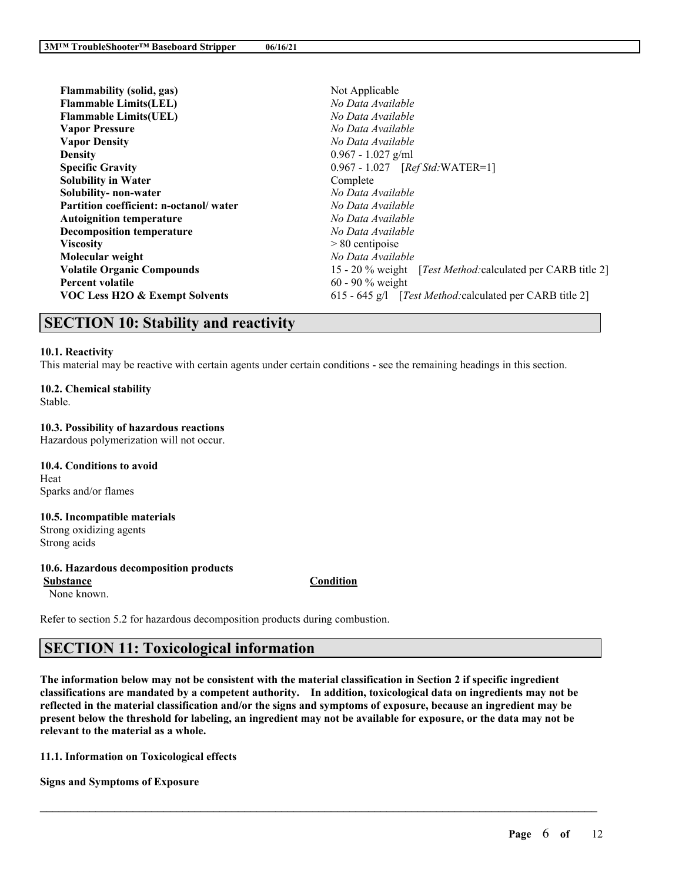| Flammability (solid, gas)              | Not Applicable                                                      |  |  |
|----------------------------------------|---------------------------------------------------------------------|--|--|
| <b>Flammable Limits(LEL)</b>           | No Data Available                                                   |  |  |
| <b>Flammable Limits (UEL)</b>          | No Data Available                                                   |  |  |
| <b>Vapor Pressure</b>                  | No Data Available                                                   |  |  |
| <b>Vapor Density</b>                   | No Data Available                                                   |  |  |
| <b>Density</b>                         | $0.967 - 1.027$ g/ml                                                |  |  |
| <b>Specific Gravity</b>                | 0.967 - 1.027 [Ref Std: WATER=1]                                    |  |  |
| <b>Solubility in Water</b>             | Complete                                                            |  |  |
| Solubility- non-water                  | No Data Available                                                   |  |  |
| Partition coefficient: n-octanol/water | No Data Available                                                   |  |  |
| <b>Autoignition temperature</b>        | No Data Available                                                   |  |  |
| <b>Decomposition temperature</b>       | No Data Available                                                   |  |  |
| <b>Viscosity</b>                       | $> 80$ centipoise                                                   |  |  |
| Molecular weight                       | No Data Available                                                   |  |  |
| <b>Volatile Organic Compounds</b>      | 15 - 20 % weight [ <i>Test Method:calculated per CARB title 2</i> ] |  |  |
| <b>Percent volatile</b>                | 60 - 90 $%$ weight                                                  |  |  |
| VOC Less H2O & Exempt Solvents         | 615 - 645 g/l [ <i>Test Method</i> : calculated per CARB title 2]   |  |  |
|                                        |                                                                     |  |  |

# **SECTION 10: Stability and reactivity**

### **10.1. Reactivity**

This material may be reactive with certain agents under certain conditions - see the remaining headings in this section.

# **10.2. Chemical stability**

Stable.

### **10.3. Possibility of hazardous reactions**

Hazardous polymerization will not occur.

**10.4. Conditions to avoid** Heat Sparks and/or flames

## **10.5. Incompatible materials**

Strong oxidizing agents Strong acids

## **10.6. Hazardous decomposition products**

**Substance Condition**

None known.

Refer to section 5.2 for hazardous decomposition products during combustion.

# **SECTION 11: Toxicological information**

The information below may not be consistent with the material classification in Section 2 if specific ingredient **classifications are mandated by a competent authority. In addition, toxicological data on ingredients may not be** reflected in the material classification and/or the signs and symptoms of exposure, because an ingredient may be present below the threshold for labeling, an ingredient may not be available for exposure, or the data may not be **relevant to the material as a whole.**

 $\mathcal{L}_\mathcal{L} = \mathcal{L}_\mathcal{L} = \mathcal{L}_\mathcal{L} = \mathcal{L}_\mathcal{L} = \mathcal{L}_\mathcal{L} = \mathcal{L}_\mathcal{L} = \mathcal{L}_\mathcal{L} = \mathcal{L}_\mathcal{L} = \mathcal{L}_\mathcal{L} = \mathcal{L}_\mathcal{L} = \mathcal{L}_\mathcal{L} = \mathcal{L}_\mathcal{L} = \mathcal{L}_\mathcal{L} = \mathcal{L}_\mathcal{L} = \mathcal{L}_\mathcal{L} = \mathcal{L}_\mathcal{L} = \mathcal{L}_\mathcal{L}$ 

**11.1. Information on Toxicological effects**

**Signs and Symptoms of Exposure**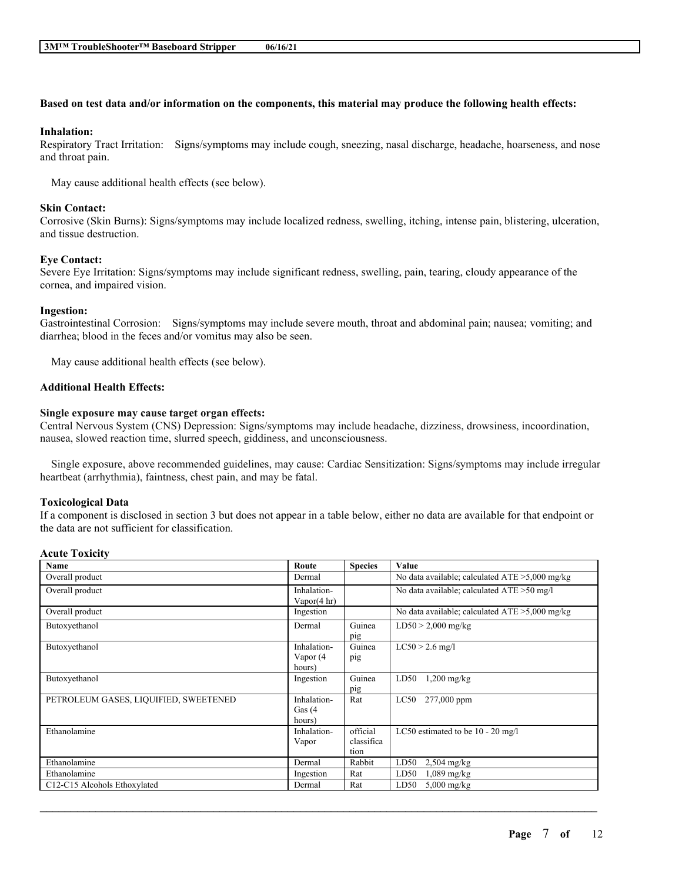### Based on test data and/or information on the components, this material may produce the following health effects:

#### **Inhalation:**

Respiratory Tract Irritation: Signs/symptoms may include cough, sneezing, nasal discharge, headache, hoarseness, and nose and throat pain.

May cause additional health effects (see below).

#### **Skin Contact:**

Corrosive (Skin Burns): Signs/symptoms may include localized redness, swelling, itching, intense pain, blistering, ulceration, and tissue destruction.

#### **Eye Contact:**

Severe Eye Irritation: Signs/symptoms may include significant redness, swelling, pain, tearing, cloudy appearance of the cornea, and impaired vision.

#### **Ingestion:**

Gastrointestinal Corrosion: Signs/symptoms may include severe mouth, throat and abdominal pain; nausea; vomiting; and diarrhea; blood in the feces and/or vomitus may also be seen.

May cause additional health effects (see below).

### **Additional Health Effects:**

#### **Single exposure may cause target organ effects:**

Central Nervous System (CNS) Depression: Signs/symptoms may include headache, dizziness, drowsiness, incoordination, nausea, slowed reaction time, slurred speech, giddiness, and unconsciousness.

Single exposure, above recommended guidelines, may cause: Cardiac Sensitization: Signs/symptoms may include irregular heartbeat (arrhythmia), faintness, chest pain, and may be fatal.

### **Toxicological Data**

If a component is disclosed in section 3 but does not appear in a table below, either no data are available for that endpoint or the data are not sufficient for classification.

### **Acute Toxicity**

| Name                                  | Route                  | <b>Species</b> | Value                                             |
|---------------------------------------|------------------------|----------------|---------------------------------------------------|
| Overall product                       | Dermal                 |                | No data available; calculated $ATE > 5,000$ mg/kg |
| Overall product                       | Inhalation-            |                | No data available; calculated ATE > 50 mg/l       |
|                                       | Vapor $(4 \text{ hr})$ |                |                                                   |
| Overall product                       | Ingestion              |                | No data available; calculated ATE >5,000 mg/kg    |
| Butoxyethanol                         | Dermal                 | Guinea         | $LD50 > 2,000$ mg/kg                              |
|                                       |                        | pig            |                                                   |
| Butoxyethanol                         | Inhalation-            | Guinea         | $LC50 > 2.6$ mg/l                                 |
|                                       | Vapor $(4)$            | pig            |                                                   |
|                                       | hours)                 |                |                                                   |
| Butoxyethanol                         | Ingestion              | Guinea         | LD50<br>$1,200$ mg/kg                             |
|                                       |                        | pig            |                                                   |
| PETROLEUM GASES, LIQUIFIED, SWEETENED | Inhalation-            | Rat            | LC50<br>277,000 ppm                               |
|                                       | Gas $(4)$              |                |                                                   |
|                                       | hours)                 |                |                                                   |
| Ethanolamine                          | Inhalation-            | official       | LC50 estimated to be $10 - 20$ mg/l               |
|                                       | Vapor                  | classifica     |                                                   |
|                                       |                        | tion           |                                                   |
| Ethanolamine                          | Dermal                 | Rabbit         | LD50<br>$2,504$ mg/kg                             |
| Ethanolamine                          | Ingestion              | Rat            | LD50<br>$1,089$ mg/kg                             |
| C12-C15 Alcohols Ethoxylated          | Dermal                 | Rat            | $5,000 \text{ mg/kg}$<br>LD50                     |

 $\mathcal{L}_\mathcal{L} = \mathcal{L}_\mathcal{L} = \mathcal{L}_\mathcal{L} = \mathcal{L}_\mathcal{L} = \mathcal{L}_\mathcal{L} = \mathcal{L}_\mathcal{L} = \mathcal{L}_\mathcal{L} = \mathcal{L}_\mathcal{L} = \mathcal{L}_\mathcal{L} = \mathcal{L}_\mathcal{L} = \mathcal{L}_\mathcal{L} = \mathcal{L}_\mathcal{L} = \mathcal{L}_\mathcal{L} = \mathcal{L}_\mathcal{L} = \mathcal{L}_\mathcal{L} = \mathcal{L}_\mathcal{L} = \mathcal{L}_\mathcal{L}$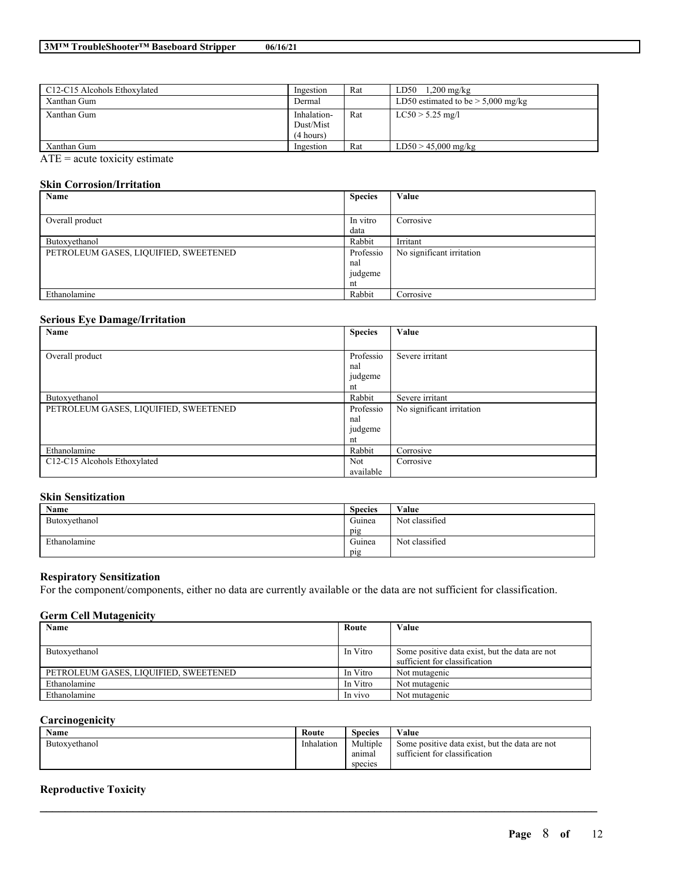| C12-C15 Alcohols Ethoxylated                                           | Ingestion   | Rat | LD50<br>$1,200$ mg/kg                |
|------------------------------------------------------------------------|-------------|-----|--------------------------------------|
| Xanthan Gum                                                            | Dermal      |     | LD50 estimated to be $> 5,000$ mg/kg |
| Xanthan Gum                                                            | Inhalation- | Rat | $LC50 > 5.25$ mg/l                   |
|                                                                        | Dust/Mist   |     |                                      |
|                                                                        | (4 hours)   |     |                                      |
| Xanthan Gum                                                            | Ingestion   | Rat | $LD50 > 45,000$ mg/kg                |
| $\overline{1}$<br>그 아이들은 그 사람들은 아이들이 아주 아주 있다. 이 사람들은 아이들은 아이들이 아주 있다. |             |     |                                      |

 $ATE = acute$  toxicity estimate

### **Skin Corrosion/Irritation**

| Name                                  | <b>Species</b> | Value                     |
|---------------------------------------|----------------|---------------------------|
|                                       |                |                           |
| Overall product                       | In vitro       | Corrosive                 |
|                                       | data           |                           |
| Butoxyethanol                         | Rabbit         | Irritant                  |
| PETROLEUM GASES, LIQUIFIED, SWEETENED | Professio      | No significant irritation |
|                                       | nal            |                           |
|                                       | judgeme        |                           |
|                                       | nt             |                           |
| Ethanolamine                          | Rabbit         | Corrosive                 |

### **Serious Eye Damage/Irritation**

| Name                                  | <b>Species</b> | Value                     |
|---------------------------------------|----------------|---------------------------|
|                                       |                |                           |
| Overall product                       | Professio      | Severe irritant           |
|                                       | nal            |                           |
|                                       | judgeme        |                           |
|                                       | nt             |                           |
| Butoxyethanol                         | Rabbit         | Severe irritant           |
| PETROLEUM GASES, LIQUIFIED, SWEETENED | Professio      | No significant irritation |
|                                       | nal            |                           |
|                                       | judgeme        |                           |
|                                       | nt             |                           |
| Ethanolamine                          | Rabbit         | Corrosive                 |
| C12-C15 Alcohols Ethoxylated          | Not            | Corrosive                 |
|                                       | available      |                           |

## **Skin Sensitization**

| Name          | <b>Species</b> | Value          |
|---------------|----------------|----------------|
| Butoxyethanol | Guinea         | Not classified |
|               | pig            |                |
| Ethanolamine  | Guinea         | Not classified |
|               | pig            |                |

## **Respiratory Sensitization**

For the component/components, either no data are currently available or the data are not sufficient for classification.

### **Germ Cell Mutagenicity**

| Name                                  | Route    | Value                                          |
|---------------------------------------|----------|------------------------------------------------|
|                                       |          |                                                |
| Butoxyethanol                         | In Vitro | Some positive data exist, but the data are not |
|                                       |          | sufficient for classification                  |
| PETROLEUM GASES, LIQUIFIED, SWEETENED | In Vitro | Not mutagenic                                  |
| Ethanolamine                          | In Vitro | Not mutagenic                                  |
| Ethanolamine                          | In vivo  | Not mutagenic                                  |

### **Carcinogenicity**

| <b>Name</b>   | Route      | <b>Species</b>     | Value                                                                           |
|---------------|------------|--------------------|---------------------------------------------------------------------------------|
| Butoxyethanol | Inhalation | Multiple<br>anımal | Some positive data exist, but the data are not<br>sufficient for classification |
|               |            | species            |                                                                                 |

 $\mathcal{L}_\mathcal{L} = \mathcal{L}_\mathcal{L} = \mathcal{L}_\mathcal{L} = \mathcal{L}_\mathcal{L} = \mathcal{L}_\mathcal{L} = \mathcal{L}_\mathcal{L} = \mathcal{L}_\mathcal{L} = \mathcal{L}_\mathcal{L} = \mathcal{L}_\mathcal{L} = \mathcal{L}_\mathcal{L} = \mathcal{L}_\mathcal{L} = \mathcal{L}_\mathcal{L} = \mathcal{L}_\mathcal{L} = \mathcal{L}_\mathcal{L} = \mathcal{L}_\mathcal{L} = \mathcal{L}_\mathcal{L} = \mathcal{L}_\mathcal{L}$ 

## **Reproductive Toxicity**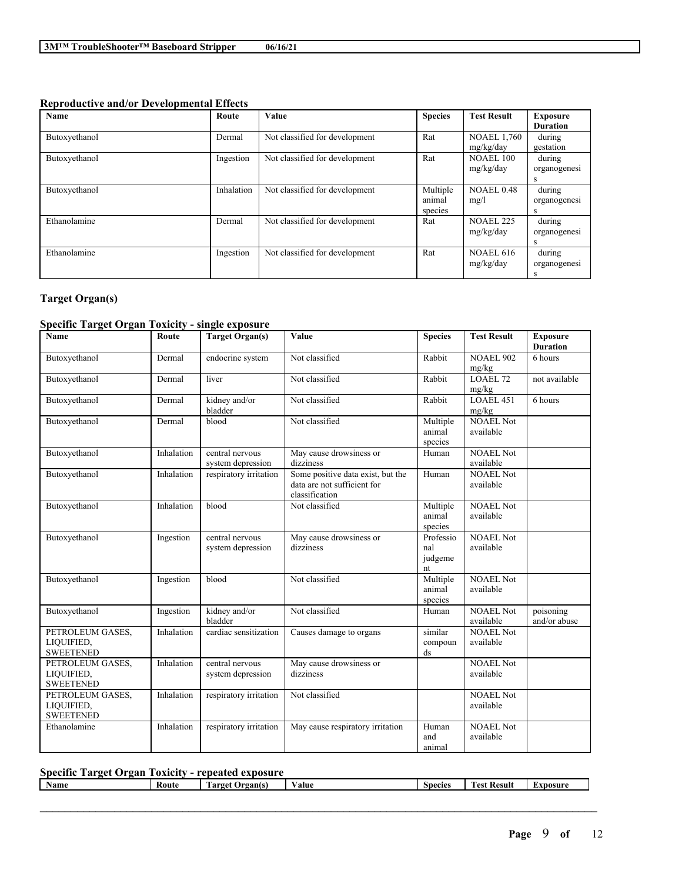## **Reproductive and/or Developmental Effects**

| Name          | Route      | Value                          | <b>Species</b>                | <b>Test Result</b>              | <b>Exposure</b>             |
|---------------|------------|--------------------------------|-------------------------------|---------------------------------|-----------------------------|
|               |            |                                |                               |                                 | <b>Duration</b>             |
| Butoxyethanol | Dermal     | Not classified for development | Rat                           | <b>NOAEL 1,760</b><br>mg/kg/day | during<br>gestation         |
| Butoxyethanol | Ingestion  | Not classified for development | Rat                           | <b>NOAEL 100</b><br>mg/kg/day   | during<br>organogenesi<br>s |
| Butoxyethanol | Inhalation | Not classified for development | Multiple<br>animal<br>species | <b>NOAEL 0.48</b><br>mg/l       | during<br>organogenesi<br>s |
| Ethanolamine  | Dermal     | Not classified for development | Rat                           | <b>NOAEL 225</b><br>mg/kg/day   | during<br>organogenesi<br>s |
| Ethanolamine  | Ingestion  | Not classified for development | Rat                           | NOAEL 616<br>mg/kg/day          | during<br>organogenesi<br>S |

## **Target Organ(s)**

## **Specific Target Organ Toxicity - single exposure**

| Name                                               | Route      | <b>Target Organ(s)</b>               | Value                                                                              | <b>Species</b>                    | <b>Test Result</b>            | <b>Exposure</b><br><b>Duration</b> |
|----------------------------------------------------|------------|--------------------------------------|------------------------------------------------------------------------------------|-----------------------------------|-------------------------------|------------------------------------|
| Butoxyethanol                                      | Dermal     | endocrine system                     | Not classified                                                                     | Rabbit                            | <b>NOAEL 902</b><br>mg/kg     | 6 hours                            |
| Butoxyethanol                                      | Dermal     | liver                                | Not classified                                                                     | Rabbit                            | LOAEL 72<br>mg/kg             | not available                      |
| Butoxyethanol                                      | Dermal     | kidney and/or<br>bladder             | Not classified                                                                     | Rabbit                            | LOAEL 451<br>mg/kg            | 6 hours                            |
| Butoxyethanol                                      | Dermal     | blood                                | Not classified                                                                     | Multiple<br>animal<br>species     | <b>NOAEL Not</b><br>available |                                    |
| Butoxyethanol                                      | Inhalation | central nervous<br>system depression | May cause drowsiness or<br>dizziness                                               | Human                             | NOAEL Not<br>available        |                                    |
| Butoxyethanol                                      | Inhalation | respiratory irritation               | Some positive data exist, but the<br>data are not sufficient for<br>classification | Human                             | <b>NOAEL Not</b><br>available |                                    |
| Butoxyethanol                                      | Inhalation | blood                                | Not classified                                                                     | Multiple<br>animal<br>species     | <b>NOAEL Not</b><br>available |                                    |
| Butoxyethanol                                      | Ingestion  | central nervous<br>system depression | May cause drowsiness or<br>dizziness                                               | Professio<br>nal<br>judgeme<br>nt | <b>NOAEL Not</b><br>available |                                    |
| Butoxyethanol                                      | Ingestion  | blood                                | Not classified                                                                     | Multiple<br>animal<br>species     | <b>NOAEL Not</b><br>available |                                    |
| Butoxyethanol                                      | Ingestion  | kidney and/or<br>bladder             | Not classified                                                                     | Human                             | <b>NOAEL Not</b><br>available | poisoning<br>and/or abuse          |
| PETROLEUM GASES,<br>LIQUIFIED,<br><b>SWEETENED</b> | Inhalation | cardiac sensitization                | Causes damage to organs                                                            | similar<br>compoun<br>ds          | <b>NOAEL Not</b><br>available |                                    |
| PETROLEUM GASES,<br>LIQUIFIED,<br><b>SWEETENED</b> | Inhalation | central nervous<br>system depression | May cause drowsiness or<br>dizziness                                               |                                   | <b>NOAEL Not</b><br>available |                                    |
| PETROLEUM GASES,<br>LIQUIFIED,<br><b>SWEETENED</b> | Inhalation | respiratory irritation               | Not classified                                                                     |                                   | <b>NOAEL Not</b><br>available |                                    |
| Ethanolamine                                       | Inhalation | respiratory irritation               | May cause respiratory irritation                                                   | Human<br>and<br>animal            | <b>NOAEL Not</b><br>available |                                    |

## **Specific Target Organ Toxicity - repeated exposure**

| <b>Name</b><br>-Koute | rgants<br>arget | 'alue | Snecie | -<br>tesult | <b>ALAM</b> DOSUP <sup>A</sup> |
|-----------------------|-----------------|-------|--------|-------------|--------------------------------|

 $\mathcal{L}_\mathcal{L} = \mathcal{L}_\mathcal{L} = \mathcal{L}_\mathcal{L} = \mathcal{L}_\mathcal{L} = \mathcal{L}_\mathcal{L} = \mathcal{L}_\mathcal{L} = \mathcal{L}_\mathcal{L} = \mathcal{L}_\mathcal{L} = \mathcal{L}_\mathcal{L} = \mathcal{L}_\mathcal{L} = \mathcal{L}_\mathcal{L} = \mathcal{L}_\mathcal{L} = \mathcal{L}_\mathcal{L} = \mathcal{L}_\mathcal{L} = \mathcal{L}_\mathcal{L} = \mathcal{L}_\mathcal{L} = \mathcal{L}_\mathcal{L}$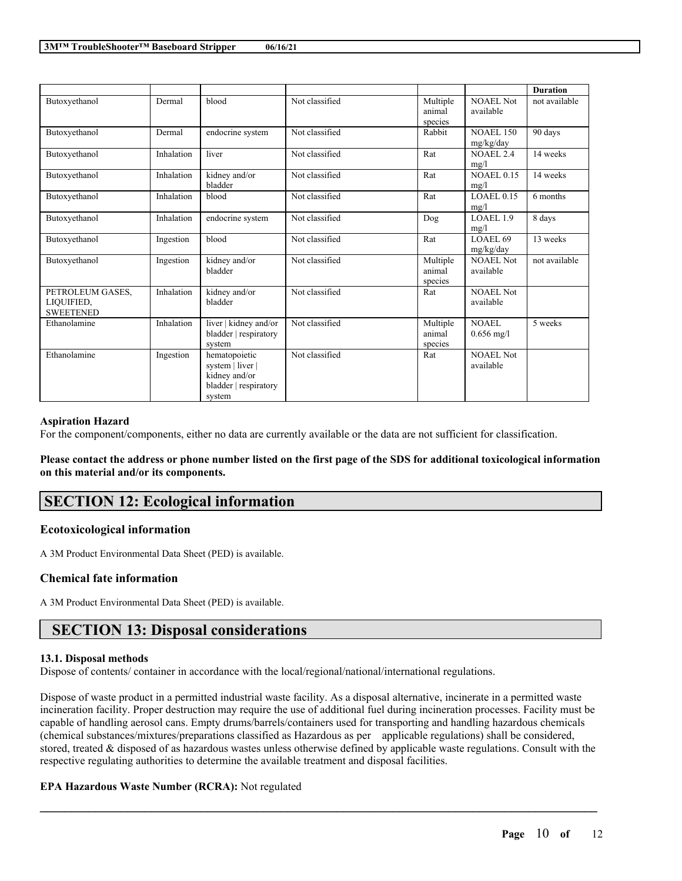|                                                    |            |                                                                                       |                |                               |                               | <b>Duration</b> |
|----------------------------------------------------|------------|---------------------------------------------------------------------------------------|----------------|-------------------------------|-------------------------------|-----------------|
| Butoxyethanol                                      | Dermal     | blood                                                                                 | Not classified | Multiple<br>animal<br>species | NOAEL Not<br>available        | not available   |
| Butoxyethanol                                      | Dermal     | endocrine system                                                                      | Not classified | Rabbit                        | <b>NOAEL 150</b><br>mg/kg/day | 90 days         |
| Butoxyethanol                                      | Inhalation | liver                                                                                 | Not classified | Rat                           | <b>NOAEL 2.4</b><br>mg/l      | 14 weeks        |
| Butoxyethanol                                      | Inhalation | kidney and/or<br>bladder                                                              | Not classified | Rat                           | <b>NOAEL 0.15</b><br>mg/l     | 14 weeks        |
| Butoxyethanol                                      | Inhalation | blood                                                                                 | Not classified | Rat                           | <b>LOAEL0.15</b><br>mg/l      | 6 months        |
| Butoxyethanol                                      | Inhalation | endocrine system                                                                      | Not classified | Dog                           | LOAEL 1.9<br>mg/l             | 8 days          |
| Butoxyethanol                                      | Ingestion  | blood                                                                                 | Not classified | Rat                           | LOAEL 69<br>mg/kg/day         | 13 weeks        |
| Butoxyethanol                                      | Ingestion  | kidney and/or<br>bladder                                                              | Not classified | Multiple<br>animal<br>species | NOAEL Not<br>available        | not available   |
| PETROLEUM GASES.<br>LIQUIFIED.<br><b>SWEETENED</b> | Inhalation | kidney and/or<br>bladder                                                              | Not classified | Rat                           | NOAEL Not<br>available        |                 |
| Ethanolamine                                       | Inhalation | liver   kidney and/or<br>bladder   respiratory<br>system                              | Not classified | Multiple<br>animal<br>species | NOAEL<br>$0.656$ mg/l         | 5 weeks         |
| Ethanolamine                                       | Ingestion  | hematopoietic<br>system   liver  <br>kidney and/or<br>bladder   respiratory<br>system | Not classified | Rat                           | NOAEL Not<br>available        |                 |

### **Aspiration Hazard**

For the component/components, either no data are currently available or the data are not sufficient for classification.

Please contact the address or phone number listed on the first page of the SDS for additional toxicological information **on this material and/or its components.**

# **SECTION 12: Ecological information**

### **Ecotoxicological information**

A 3M Product Environmental Data Sheet (PED) is available.

## **Chemical fate information**

A 3M Product Environmental Data Sheet (PED) is available.

# **SECTION 13: Disposal considerations**

### **13.1. Disposal methods**

Dispose of contents/ container in accordance with the local/regional/national/international regulations.

Dispose of waste product in a permitted industrial waste facility. As a disposal alternative, incinerate in a permitted waste incineration facility. Proper destruction may require the use of additional fuel during incineration processes. Facility must be capable of handling aerosol cans. Empty drums/barrels/containers used for transporting and handling hazardous chemicals (chemical substances/mixtures/preparations classified as Hazardous as per applicable regulations) shall be considered, stored, treated & disposed of as hazardous wastes unless otherwise defined by applicable waste regulations. Consult with the respective regulating authorities to determine the available treatment and disposal facilities.

 $\mathcal{L}_\mathcal{L} = \mathcal{L}_\mathcal{L} = \mathcal{L}_\mathcal{L} = \mathcal{L}_\mathcal{L} = \mathcal{L}_\mathcal{L} = \mathcal{L}_\mathcal{L} = \mathcal{L}_\mathcal{L} = \mathcal{L}_\mathcal{L} = \mathcal{L}_\mathcal{L} = \mathcal{L}_\mathcal{L} = \mathcal{L}_\mathcal{L} = \mathcal{L}_\mathcal{L} = \mathcal{L}_\mathcal{L} = \mathcal{L}_\mathcal{L} = \mathcal{L}_\mathcal{L} = \mathcal{L}_\mathcal{L} = \mathcal{L}_\mathcal{L}$ 

## **EPA Hazardous Waste Number (RCRA):** Not regulated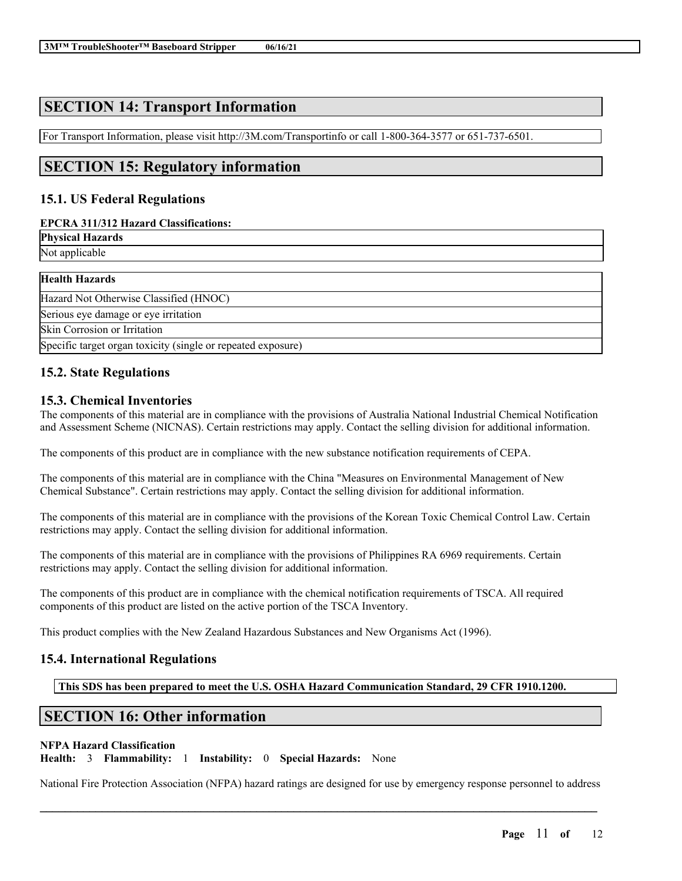# **SECTION 14: Transport Information**

For Transport Information, please visit http://3M.com/Transportinfo or call 1-800-364-3577 or 651-737-6501.

# **SECTION 15: Regulatory information**

## **15.1. US Federal Regulations**

## **EPCRA 311/312 Hazard Classifications:**

**Physical Hazards**

Not applicable

| <b>Health Hazards</b>                                        |  |
|--------------------------------------------------------------|--|
| Hazard Not Otherwise Classified (HNOC)                       |  |
| Serious eye damage or eye irritation                         |  |
| <b>Skin Corrosion or Irritation</b>                          |  |
| Specific target organ toxicity (single or repeated exposure) |  |

## **15.2. State Regulations**

## **15.3. Chemical Inventories**

The components of this material are in compliance with the provisions of Australia National Industrial Chemical Notification and Assessment Scheme (NICNAS). Certain restrictions may apply. Contact the selling division for additional information.

The components of this product are in compliance with the new substance notification requirements of CEPA.

The components of this material are in compliance with the China "Measures on Environmental Management of New Chemical Substance". Certain restrictions may apply. Contact the selling division for additional information.

The components of this material are in compliance with the provisions of the Korean Toxic Chemical Control Law. Certain restrictions may apply. Contact the selling division for additional information.

The components of this material are in compliance with the provisions of Philippines RA 6969 requirements. Certain restrictions may apply. Contact the selling division for additional information.

The components of this product are in compliance with the chemical notification requirements of TSCA. All required components of this product are listed on the active portion of the TSCA Inventory.

This product complies with the New Zealand Hazardous Substances and New Organisms Act (1996).

## **15.4. International Regulations**

**This SDS has been prepared to meet the U.S. OSHA Hazard Communication Standard, 29 CFR 1910.1200.**

# **SECTION 16: Other information**

## **NFPA Hazard Classification**

**Health:** 3 **Flammability:** 1 **Instability:** 0 **Special Hazards:** None

National Fire Protection Association (NFPA) hazard ratings are designed for use by emergency response personnel to address

 $\mathcal{L}_\mathcal{L} = \mathcal{L}_\mathcal{L} = \mathcal{L}_\mathcal{L} = \mathcal{L}_\mathcal{L} = \mathcal{L}_\mathcal{L} = \mathcal{L}_\mathcal{L} = \mathcal{L}_\mathcal{L} = \mathcal{L}_\mathcal{L} = \mathcal{L}_\mathcal{L} = \mathcal{L}_\mathcal{L} = \mathcal{L}_\mathcal{L} = \mathcal{L}_\mathcal{L} = \mathcal{L}_\mathcal{L} = \mathcal{L}_\mathcal{L} = \mathcal{L}_\mathcal{L} = \mathcal{L}_\mathcal{L} = \mathcal{L}_\mathcal{L}$